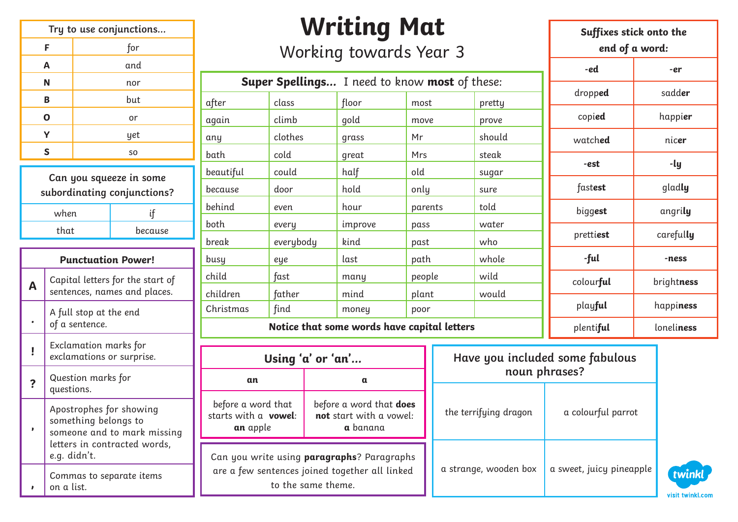| Try to use conjunctions |                |  |
|-------------------------|----------------|--|
| F                       | for            |  |
| Α                       | and            |  |
| N                       | nor            |  |
| B                       | but            |  |
| O                       | or             |  |
| Y                       | yet            |  |
| S                       | S <sub>O</sub> |  |

| Can you squeeze in some<br>subordinating conjunctions? |    |  |  |
|--------------------------------------------------------|----|--|--|
| when                                                   | if |  |  |
| that<br>because                                        |    |  |  |

|   | <b>Punctuation Power!</b>                                                                                                      |
|---|--------------------------------------------------------------------------------------------------------------------------------|
| Α | Capital letters for the start of<br>sentences, names and places.                                                               |
|   | A full stop at the end<br>of a sentence.                                                                                       |
|   | Exclamation marks for<br>exclamations or surprise.                                                                             |
|   | Question marks for<br>questions.                                                                                               |
|   | Apostrophes for showing<br>something belongs to<br>someone and to mark missing<br>letters in contracted words,<br>e.g. didn't. |
|   | Commas to separate items<br>on a list.                                                                                         |

# **Writing Mat**

#### Working towards Year 3

|                                             |           | <b>Super Spellings</b> I need to know most of these: |         |        |
|---------------------------------------------|-----------|------------------------------------------------------|---------|--------|
| after                                       | class     | floor                                                | most    | pretty |
| again                                       | climb     | gold                                                 | move    | prove  |
| any                                         | clothes   | grass                                                | Mr      | should |
| bath                                        | cold      | great                                                | Mrs     | steak  |
| beautiful                                   | could     | half                                                 | old     | sugar  |
| because                                     | door      | hold                                                 | only    | sure   |
| behind                                      | even      | hour                                                 | parents | told   |
| both                                        | every     | improve                                              | pass    | water  |
| break                                       | everybody | kind                                                 | past    | who    |
| busy                                        | eye       | last                                                 | path    | whole  |
| child                                       | fast      | many                                                 | people  | wild   |
| children                                    | father    | mind                                                 | plant   | would  |
| Christmas                                   | find      | money                                                | poor    |        |
| Notice that some words have capital letters |           |                                                      |         |        |

**Suffixes stick onto the end of a word: -ed -er** dropped | sadder copi**ed** happi**er** watch**ed** nic**er -est -ly** fast**est** glad**ly** bigg**est** angri**ly** pretti**est** careful**ly -ful -ness** colour**ful** bright**ness** play**ful** happi**ness** plenti**ful** loneli**ness**

|           | Using 'a' or 'an'                                                                                                  |                                                                |  |                       | Have you included some fabulous |
|-----------|--------------------------------------------------------------------------------------------------------------------|----------------------------------------------------------------|--|-----------------------|---------------------------------|
|           | an                                                                                                                 |                                                                |  |                       | noun phrases?                   |
| issing    | before a word that<br>starts with a vowel:<br>an apple                                                             | before a word that does<br>not start with a vowel:<br>a banana |  | the terrifying dragon | a colourful parrot              |
| ds,<br>S. | Can you write using paragraphs? Paragraphs<br>are a few sentences joined together all linked<br>to the same theme. |                                                                |  | a strange, wooden box | a sweet, juicy pineapple        |

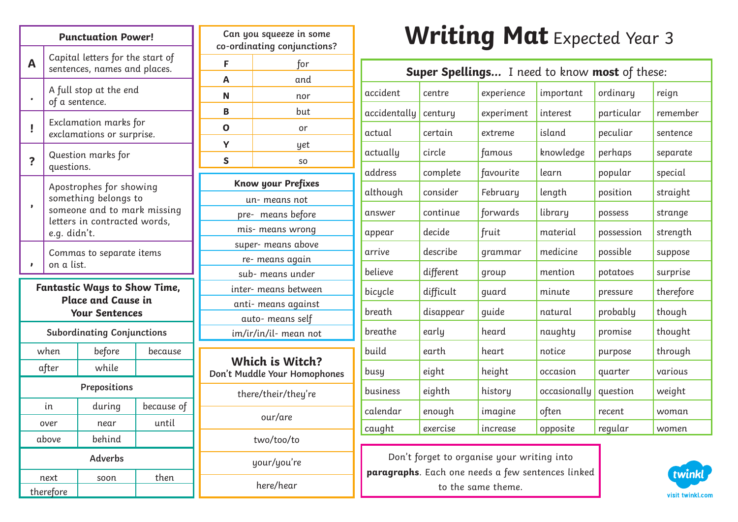|                |                                                                                           | <b>Punctuation Power!</b>                                                                                      |            |    |
|----------------|-------------------------------------------------------------------------------------------|----------------------------------------------------------------------------------------------------------------|------------|----|
| A              | Capital letters for the start of<br>sentences, names and places.                          |                                                                                                                |            |    |
|                | of a sentence.                                                                            | A full stop at the end                                                                                         |            |    |
| ļ              |                                                                                           | Exclamation marks for<br>exclamations or surprise.                                                             |            |    |
| ?              | questions.                                                                                | Question marks for                                                                                             |            |    |
|                | e.g. didn't.                                                                              | Apostrophes for showing<br>something belongs to<br>someone and to mark missing<br>letters in contracted words, |            |    |
|                | Commas to separate items<br>on a list.                                                    |                                                                                                                |            |    |
|                | <b>Fantastic Ways to Show Time,</b><br><b>Place and Cause in</b><br><b>Your Sentences</b> |                                                                                                                |            |    |
|                |                                                                                           | <b>Subordinating Conjunctions</b>                                                                              |            |    |
|                | when                                                                                      | before                                                                                                         | because    |    |
|                | after                                                                                     | while                                                                                                          |            | D١ |
|                | Prepositions                                                                              |                                                                                                                |            |    |
|                | in                                                                                        | during                                                                                                         | because of |    |
|                | over                                                                                      | near                                                                                                           | until      |    |
|                | above                                                                                     | behind                                                                                                         |            |    |
| <b>Adverbs</b> |                                                                                           |                                                                                                                |            |    |
|                | next                                                                                      | soon                                                                                                           | then       |    |
|                | therefore                                                                                 |                                                                                                                |            |    |

|                                                 | Can you squeeze in some<br>co-ordinating conjunctions? |  |  |  |
|-------------------------------------------------|--------------------------------------------------------|--|--|--|
| F                                               | for                                                    |  |  |  |
| A                                               | and                                                    |  |  |  |
| N                                               | nor                                                    |  |  |  |
| B                                               | but                                                    |  |  |  |
| Ο                                               | or                                                     |  |  |  |
| Y                                               | yet                                                    |  |  |  |
| S                                               | SO                                                     |  |  |  |
|                                                 | Know your Prefixes                                     |  |  |  |
|                                                 | un-means not                                           |  |  |  |
|                                                 | pre- means before                                      |  |  |  |
|                                                 | mis- means wrong                                       |  |  |  |
| super- means above                              |                                                        |  |  |  |
| re- means again                                 |                                                        |  |  |  |
| sub- means under                                |                                                        |  |  |  |
| inter- means between                            |                                                        |  |  |  |
| anti- means against                             |                                                        |  |  |  |
|                                                 | auto- means self                                       |  |  |  |
| im/ir/in/il- mean not                           |                                                        |  |  |  |
| Which is Witch?<br>Don't Muddle Your Homophones |                                                        |  |  |  |
| there/their/they're                             |                                                        |  |  |  |
|                                                 | our/are                                                |  |  |  |
| two/too/to                                      |                                                        |  |  |  |
| your/you're                                     |                                                        |  |  |  |

here/hear

## **Writing Mat** Expected Year 3

| Super Spellings I need to know most of these: |           |            |              |            |           |
|-----------------------------------------------|-----------|------------|--------------|------------|-----------|
| accident                                      | centre    | experience | important    | ordinary   | reign     |
| accidentally                                  | century   | experiment | interest     | particular | remember  |
| actual                                        | certain   | extreme    | island       | peculiar   | sentence  |
| actually                                      | circle    | famous     | knowledge    | perhaps    | separate  |
| address                                       | complete  | favourite  | learn        | popular    | special   |
| although                                      | consider  | February   | length       | position   | straight  |
| answer                                        | continue  | forwards   | library      | possess    | strange   |
| appear                                        | decide    | fruit      | material     | possession | strength  |
| arrive                                        | describe  | grammar    | medicine     | possible   | suppose   |
| believe                                       | different | group      | mention      | potatoes   | surprise  |
| bicycle                                       | difficult | guard      | minute       | pressure   | therefore |
| breath                                        | disappear | quide      | natural      | probably   | though    |
| breathe                                       | early     | heard      | naughty      | promise    | thought   |
| build                                         | earth     | heart      | notice       | purpose    | through   |
| busy                                          | eight     | height     | occasion     | quarter    | various   |
| business                                      | eighth    | history    | occasionally | question   | weight    |
| calendar                                      | enough    | imagine    | often        | recent     | woman     |
| caught                                        | exercise  | increase   | opposite     | regular    | women     |

Don't forget to organise your writing into **paragraphs**. Each one needs a few sentences linked to the same theme.